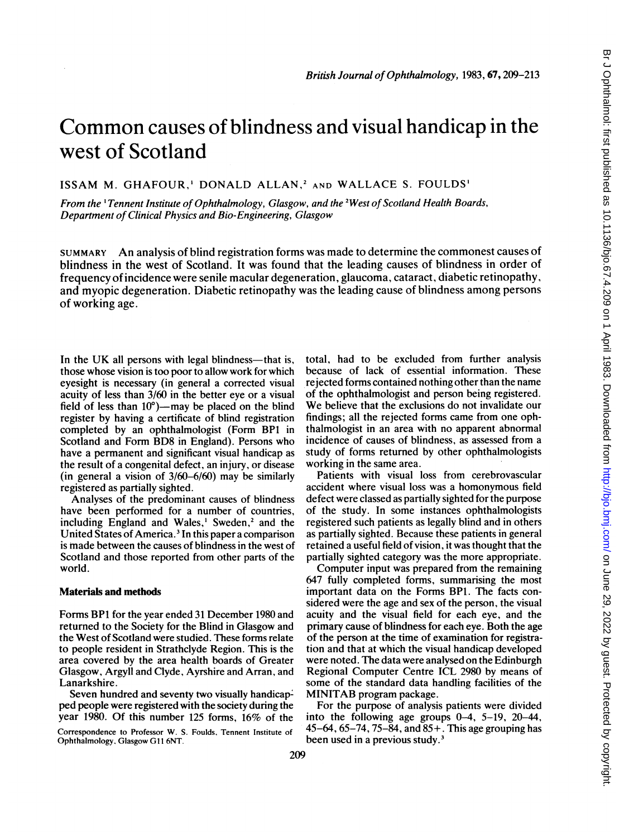# Common causes of blindness and visual handicap in the west of Scotland

ISSAM M. GHAFOUR,' DONALD ALLAN,2 AND WALLACE S. FOULDS'

From the  $\Gamma$  Tennent Institute of Ophthalmology, Glasgow, and the <sup>2</sup>West of Scotland Health Boards, Department of Clinical Physics and Bio-Engineering, Glasgow

SUMMARY An analysis of blind registration forms was made to determine the commonest causes of blindness in the west of Scotland. It was found that the leading causes of blindness in order of frequency of incidence were senile macular degeneration, glaucoma, cataract, diabetic retinopathy, and myopic degeneration. Diabetic retinopathy was the leading cause of blindness among persons of working age.

In the UK all persons with legal blindness—that is, those whose vision is too poor to allow work for which eyesight is necessary (in general a corrected visual acuity of less than 3/60 in the better eye or a visual field of less than  $10^{\circ}$ )—may be placed on the blind register by having a certificate of blind registration completed by an ophthalmologist (Form BP1 in Scotland and Form BD8 in England). Persons who have a permanent and significant visual handicap as the result of a congenital defect, an injury, or disease (in general a vision of 3/60-6/60) may be similarly registered as partially sighted.

Analyses of the predominant causes of blindness have been performed for a number of countries, including England and Wales,<sup>1</sup> Sweden,<sup>2</sup> and the United States of America.<sup>3</sup> In this paper a comparison is made between the causes of blindness in the west of Scotland and those reported from other parts of the world.

#### Materials and methods

Forms BPI for the year ended 31 December 1980 and returned to the Society for the Blind in Glasgow and the West of Scotland were studied. These forms relate to people resident in Strathclyde Region. This is the area covered by the area health boards of Greater Glasgow, Argyll and Clyde, Ayrshire and Arran, and Lanarkshire.

Seven hundred and seventy two visually handicapped people were registered with the society during the year 1980. Of this number 125 forms, 16% of the

Correspondence to Professor W. S. Foulds, Tennent Institute of Ophthalmology, Glasgow GIl<sup>1</sup> 6NT.

total, had to be excluded from further analysis because of lack of essential information. These rejected forms contained nothing other than the name of the ophthalmologist and person being registered. We believe that the exclusions do not invalidate our findings; all the rejected forms came from one ophthalmologist in an area with no apparent abnormal incidence of causes of blindness, as assessed from a study of forms returned by other ophthalmologists working in the same area.

Patients with visual loss from cerebrovascular accident where visual loss was a homonymous field defect were classed as partially sighted for the purpose of the study. In some instances ophthalmologists registered such patients as legally blind and in others as partially sighted. Because these patients in general retained a useful field of vision, it was thought that the partially sighted category was the more appropriate.

Computer input was prepared from the remaining 647 fully completed forms, summarising the most important data on the Forms BP1. The facts considered were the age and sex of the person, the visual acuity and the visual field for each eye, and the primary cause of blindness for each eye. Both the age of the person at the time of examination for registration and that at which the visual handicap developed were noted. The data were analysed on the Edinburgh Regional Computer Centre ICL 2980 by means of some of the standard data handling facilities of the MINITAB program package.

For the purpose of analysis patients were divided into the following age groups 0-4, 5-19, 20-44, 45-64, 65-74, 75-84, and 85+. This age grouping has been used in a previous study.<sup>3</sup>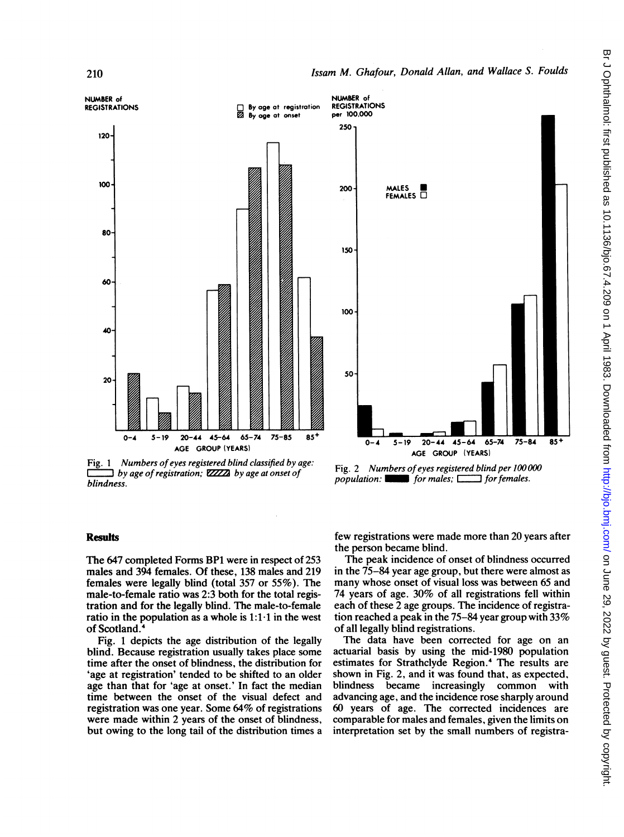

Fig. 1 Numbers of eyes registered blind classified by age:  $\exists$  by age of registration;  $\mathbb{Z} \mathbb{Z} \mathbb{Z}$  by age at onset of blindness.



Fig. 2 Numbers of eyes registered blind per 100000 population:  $\Box$  for males;  $\Box$  for females.

## **Results**

The 647 completed Forms BP1 were in respect of 253 males and 394 females. Of these, 138 males and 219 females were legally blind (total 357 or 55%). The male-to-female ratio was 2:3 both for the total registration and for the legally blind. The male-to-female ratio in the population as a whole is  $1:1 \cdot 1$  in the west of Scotland.4

Fig. <sup>1</sup> depicts the age distribution of the legally blind. Because registration usually takes place some time after the onset of blindness, the distribution for 'age at registration' tended to be shifted to an older age than that for 'age at onset.' In fact the median time between the onset of the visual defect and registration was one year. Some 64% of registrations were made within 2 years of the onset of blindness, but owing to the long tail of the distribution times a few registrations were made more than 20 years after the person became blind.

The peak incidence of onset of blindness occurred in the 75-84 year age group, but there were almost as many whose onset of visual loss was between 65 and 74 years of age. 30% of all registrations fell within each of these 2 age groups. The incidence of registration reached a peak in the 75-84 year group with 33% of all legally blind registrations.

The data have been corrected for age on an actuarial basis by using the mid-1980 population estimates for Strathclyde Region.4 The results are shown in Fig. 2, and it was found that, as expected, blindness became increasingly common with advancing age, and the incidence rose sharply around 60 years of age. The corrected incidences are comparable for males and females, given the limits on interpretation set by the small numbers of registra-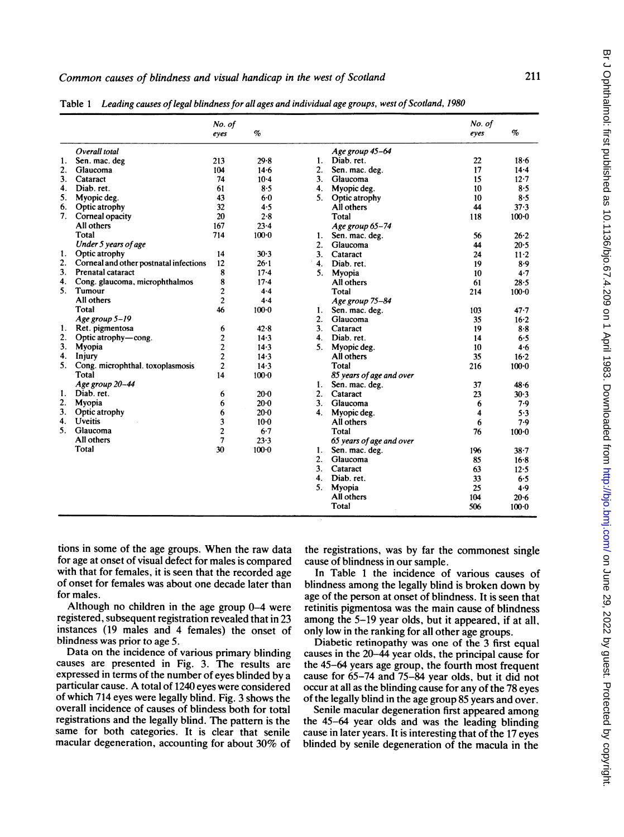|    |                                        | No. of<br>eyes | $\%$      |                |                          | No. of<br>eyes | $\%$      |
|----|----------------------------------------|----------------|-----------|----------------|--------------------------|----------------|-----------|
|    | Overall total                          |                |           |                | Age group 45-64          |                |           |
| 1. | Sen. mac. deg                          | 213            | 29.8      | 1.             | Diab. ret.               | 22             | $18 - 6$  |
| 2. | Glaucoma                               | 104            | 14.6      | 2.             | Sen. mac. deg.           | 17             | $14 - 4$  |
| 3. | Cataract                               | 74             | $10-4$    | 3 <sub>1</sub> | Glaucoma                 | 15             | $12 - 7$  |
| 4. | Diab. ret.                             | 61             | 8.5       | 4.             | Myopic deg.              | 10             | $8 - 5$   |
| 5. | Myopic deg.                            | 43             | $6 - 0$   | 5.             | Optic atrophy            | 10             | 8.5       |
| 6. | Optic atrophy                          | 32             | 4.5       |                | All others               | 44             | 37.3      |
| 7. | Corneal opacity                        | 20             | 2.8       |                | Total                    | 118            | $100 - 0$ |
|    | All others                             | 167            | $23 - 4$  |                | Age group 65-74          |                |           |
|    | Total                                  | 714            | $100 - 0$ | 1.             | Sen. mac. deg.           | 56             | $26 - 2$  |
|    | Under 5 years of age                   |                |           | 2.             | Glaucoma                 | 44             | 20.5      |
| 1. | Optic atrophy                          | 14             | 30.3      | 3 <sub>1</sub> | Cataract                 | 24             | $11 - 2$  |
| 2. | Corneal and other postnatal infections | 12             | 26.1      | $\mathbf{4}$ . | Diab. ret.               | 19             | 8.9       |
| 3. | Prenatal cataract                      | 8              | $17 - 4$  | 5.             | Myopia                   | 10             | 4.7       |
| 4. | Cong. glaucoma, microphthalmos         | 8              | $17 - 4$  |                | All others               | 61             | 28.5      |
| 5. | Tumour                                 | $\overline{2}$ | $4 - 4$   |                | Total                    | 214            | $100 - 0$ |
|    | All others                             | $\overline{2}$ | $4 - 4$   |                | Age group 75-84          |                |           |
|    | Total                                  | 46             | $100 - 0$ | 1.             | Sen. mac. deg.           | 103            | $47 - 7$  |
|    | Age group 5-19                         |                |           | 2.             | Glaucoma                 | 35             | $16 - 2$  |
| 1. | Ret. pigmentosa                        | 6              | 42.8      | 3.             | Cataract                 | 19             | $8-8$     |
| 2. | Optic atrophy-cong.                    | $\mathbf{2}$   | $14 - 3$  | 4.             | Diab. ret.               | 14             | 6.5       |
| 3. | Myopia                                 | $\overline{c}$ | $14 - 3$  | 5.             | Myopic deg.              | 10             | 4.6       |
| 4. | Injury                                 | $\overline{c}$ | $14 - 3$  |                | All others               | 35             | $16 - 2$  |
| 5. | Cong. microphthal. toxoplasmosis       | $\overline{c}$ | 14.3      |                | Total                    | 216            | $100 - 0$ |
|    | Total                                  | 14             | $100 - 0$ |                | 85 years of age and over |                |           |
|    | Age group 20-44                        |                |           | 1.             | Sen. mac. deg.           | 37             | $48 - 6$  |
| 1. | Diab. ret.                             | 6              | $20 - 0$  | 2.             | Cataract                 | 23             | 30.3      |
| 2. | Mvopia                                 | 6              | $20 - 0$  | 3.             | Glaucoma                 | 6              | 7.9       |
| 3. | Optic atrophy                          | 6              | $20 - 0$  | 4.             | Myopic deg.              | 4              | 5.3       |
| 4. | Uveitis                                | 3              | $10-0$    |                | All others               | 6              | 7.9       |
| 5. | Glaucoma                               | $\overline{2}$ | $6 - 7$   |                | Total                    | 76             | $100 - 0$ |
|    | All others                             | $\overline{7}$ | 23.3      |                | 65 years of age and over |                |           |
|    | Total                                  | 30             | $100 - 0$ | 1.             | Sen. mac. deg.           | 196            | 38.7      |
|    |                                        |                |           | 2.             | Glaucoma                 | 85             | $16-8$    |
|    |                                        |                |           | 3.             | Cataract                 | 63             | $12 - 5$  |
|    |                                        |                |           | 4.             | Diab. ret.               | 33             | 6.5       |
|    |                                        |                |           | 5.             | Myopia                   | 25             | 4.9       |
|    |                                        |                |           |                | All others               | 104            | $20 - 6$  |
|    |                                        |                |           |                | Total                    | 506            | $100 - 0$ |

Table 1 Leading causes of legal blindness for all ages and individual age groups, west of Scotland, 1980

tions in some of the age groups. When the raw data for age at onset of visual defect for males is compared with that for females, it is seen that the recorded age of onset for females was about one decade later than for males.

Although no children in the age group 0-4 were registered, subsequent registration revealed that in 23 instances (19 males and 4 females) the onset of blindness was prior to age 5.

Data on the incidence of various primary blinding causes are presented in Fig. 3. The results are expressed in terms of the number of eyes blinded by a particular cause. A total of <sup>1240</sup> eyes were considered of which 714 eyes were legally blind. Fig. 3 shows the overall incidence of causes of blindess both for total registrations and the legally blind. The pattern is the same for both categories. It is clear that senile macular degeneration, accounting for about 30% of the registrations, was by far the commonest single cause of blindness in our sample.

In Table <sup>1</sup> the incidence of various causes of blindness among the legally blind is broken down by age of the person at onset of blindness. It is seen that retinitis pigmentosa was the main cause of blindness among the 5-19 year olds, but it appeared, if at all, only low in the ranking for all other age groups.

Diabetic retinopathy was one of the 3 first equal causes in the 20-44 year olds, the principal cause for the 45-64 years age group, the fourth most frequent cause for 65-74 and 75-84 year olds, but it did not occur at all as the blinding cause for any of the 78 eyes of the legally blind in the age group 85 years and over.

Senile macular degeneration first appeared among the 45-64 year olds and was the leading blinding cause in later years. It is interesting that of the 17 eyes blinded by senile degeneration of the macula in the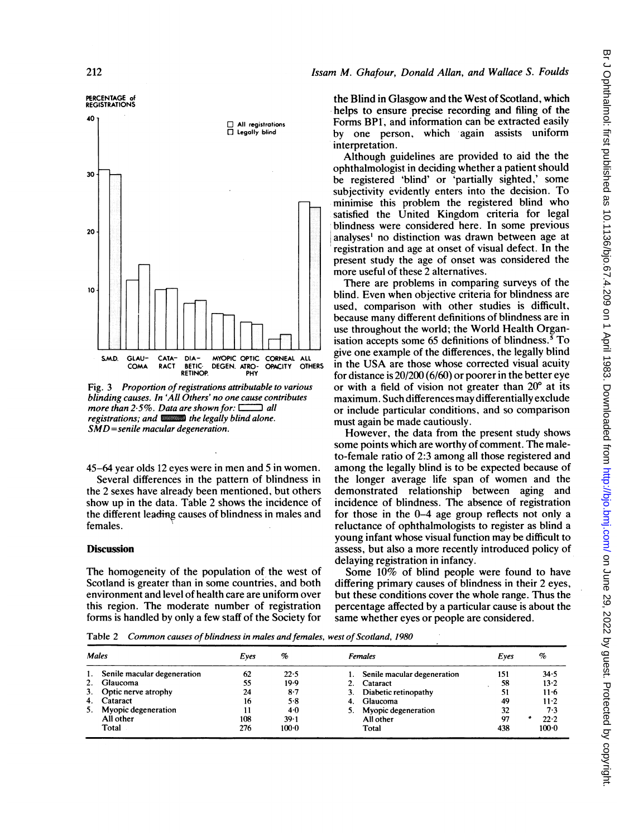# Issam M. Ghafour, Donald Allan, and Wallace S. Foulds



Fig. 3 Proportion of registrations attributable to various blinding causes. In 'All Others' no one cause contributes more than  $2.5\%$ . Data are shown for:  $\Box$  all registrations; and  $\Box$  the legally blind alone. SMD=senile macular degeneration.

45-64 year olds 12 eyes were in men and 5 in women. Several differences in the pattern of blindness in the 2 sexes have already been mentioned, but others show up in the data. Table 2 shows the incidence of the different leading causes of blindness in males and females.

#### **Discussion**

The homogeneity of the population of the west of Scotland is greater than in some countries, and both environment and level of health care are uniform over this region. The moderate number of registration forms is handled by only a few staff of the Society for the Blind in Glasgow and the West of Scotland, which helps to ensure precise recording and filing of the Forms BP1, and information can be extracted easily by one person, which again assists uniform interpretation.

Although guidelines are provided to aid the the ophthalmologist in deciding whether a patient should be registered 'blind' or 'partially sighted,' some subjectivity evidently enters into the decision. To minimise this problem the registered blind who satisfied the United Kingdom criteria for legal blindness were considered here. In some previous analyses' no distinction was drawn between age at registration and age at onset of visual defect. In the present study the age of onset was considered the more useful of these 2 alternatives.

There are problems in comparing surveys of the blind. Even when objective criteria for blindness are used, comparison with other studies is difficult, because many different definitions of blindness are in use throughout the world; the World Health Organisation accepts some 65 definitions of blindness.<sup>5</sup> To give one example of the differences, the legally blind in the USA are those whose corrected visual acuity for distance is 20/200 (6/60) or poorer in the better eye or with a field of vision not greater than 20° at its maximum. Such differences may differentially exclude or include particular conditions, and so comparison must again be made cautiously.

However, the data from the present study shows some points which are worthy of comment. The maleto-female ratio of 2:3 among all those registered and among the legally blind is to be expected because of the longer average life span of women and the demonstrated relationship between aging and incidence of blindness. The absence of registration for those in the 0-4 age group reflects not only a reluctance of ophthalmologists to register as blind a young infant whose visual function may be difficult to assess, but also a more recently introduced policy of delaying registration in infancy.

Some 10% of blind people were found to have differing primary causes of blindness in their 2 eyes, but these conditions cover the whole range. Thus the percentage affected by a particular cause is about the same whether eyes or people are considered.

Table 2 Common causes of blindness in males and females, west of Scotland, 1980

| <b>Males</b> |                             | Eves | %       | Females                     | Eves | $\%$ |           |
|--------------|-----------------------------|------|---------|-----------------------------|------|------|-----------|
| 1.           | Senile macular degeneration | 62   | 22.5    | Senile macular degeneration | 151  |      | 34.5      |
| 2.           | Glaucoma                    | 55   | 19.9    | 2. Cataract                 | 58   |      | $13 - 2$  |
|              | 3. Optic nerve atrophy      | 24   | $8-7$   | Diabetic retinopathy<br>3.  | 51   |      | $11 - 6$  |
|              | 4. Cataract                 | 16   | 5.8     | Glaucoma<br>-4.             | 49   |      | $11-2$    |
| 5.           | Myopic degeneration         |      | 4.0     | Myopic degeneration         | 32   |      | 7.3       |
|              | All other                   | 108  | 39.1    | All other                   | 97   | ۰    | 22.2      |
|              | Total                       | 276  | $100-0$ | Total                       | 438  |      | $100 - 0$ |